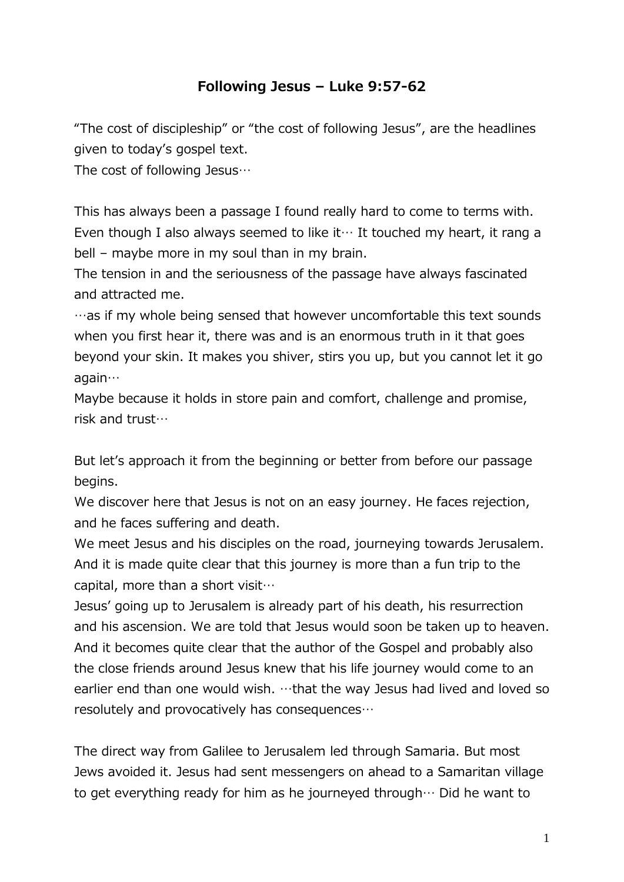## Following Jesus – Luke 9:57-62

"The cost of discipleship" or "the cost of following Jesus", are the headlines given to today's gospel text.

The cost of following Jesus…

This has always been a passage I found really hard to come to terms with. Even though I also always seemed to like it… It touched my heart, it rang a bell – maybe more in my soul than in my brain.

The tension in and the seriousness of the passage have always fascinated and attracted me.

…as if my whole being sensed that however uncomfortable this text sounds when you first hear it, there was and is an enormous truth in it that goes beyond your skin. It makes you shiver, stirs you up, but you cannot let it go again…

Maybe because it holds in store pain and comfort, challenge and promise, risk and trust…

But let's approach it from the beginning or better from before our passage begins.

We discover here that Jesus is not on an easy journey. He faces rejection, and he faces suffering and death.

We meet Jesus and his disciples on the road, journeying towards Jerusalem. And it is made quite clear that this journey is more than a fun trip to the capital, more than a short visit…

Jesus' going up to Jerusalem is already part of his death, his resurrection and his ascension. We are told that Jesus would soon be taken up to heaven. And it becomes quite clear that the author of the Gospel and probably also the close friends around Jesus knew that his life journey would come to an earlier end than one would wish. …that the way Jesus had lived and loved so resolutely and provocatively has consequences…

The direct way from Galilee to Jerusalem led through Samaria. But most Jews avoided it. Jesus had sent messengers on ahead to a Samaritan village to get everything ready for him as he journeyed through… Did he want to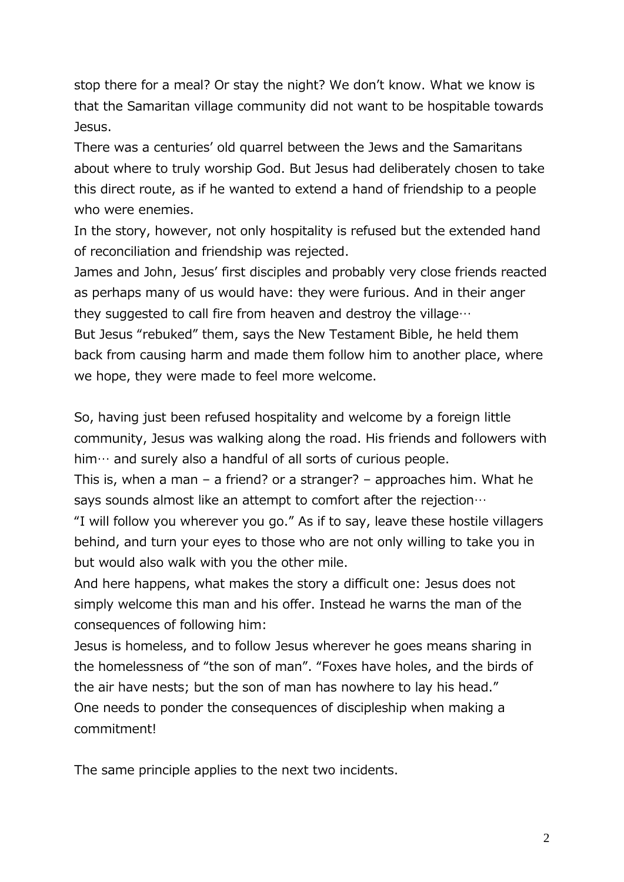stop there for a meal? Or stay the night? We don't know. What we know is that the Samaritan village community did not want to be hospitable towards Jesus.

There was a centuries' old quarrel between the Jews and the Samaritans about where to truly worship God. But Jesus had deliberately chosen to take this direct route, as if he wanted to extend a hand of friendship to a people who were enemies.

In the story, however, not only hospitality is refused but the extended hand of reconciliation and friendship was rejected.

James and John, Jesus' first disciples and probably very close friends reacted as perhaps many of us would have: they were furious. And in their anger they suggested to call fire from heaven and destroy the village…

But Jesus "rebuked" them, says the New Testament Bible, he held them back from causing harm and made them follow him to another place, where we hope, they were made to feel more welcome.

So, having just been refused hospitality and welcome by a foreign little community, Jesus was walking along the road. His friends and followers with him… and surely also a handful of all sorts of curious people.

This is, when a man – a friend? or a stranger? – approaches him. What he says sounds almost like an attempt to comfort after the rejection…

"I will follow you wherever you go." As if to say, leave these hostile villagers behind, and turn your eyes to those who are not only willing to take you in but would also walk with you the other mile.

And here happens, what makes the story a difficult one: Jesus does not simply welcome this man and his offer. Instead he warns the man of the consequences of following him:

Jesus is homeless, and to follow Jesus wherever he goes means sharing in the homelessness of "the son of man". "Foxes have holes, and the birds of the air have nests; but the son of man has nowhere to lay his head." One needs to ponder the consequences of discipleship when making a commitment!

The same principle applies to the next two incidents.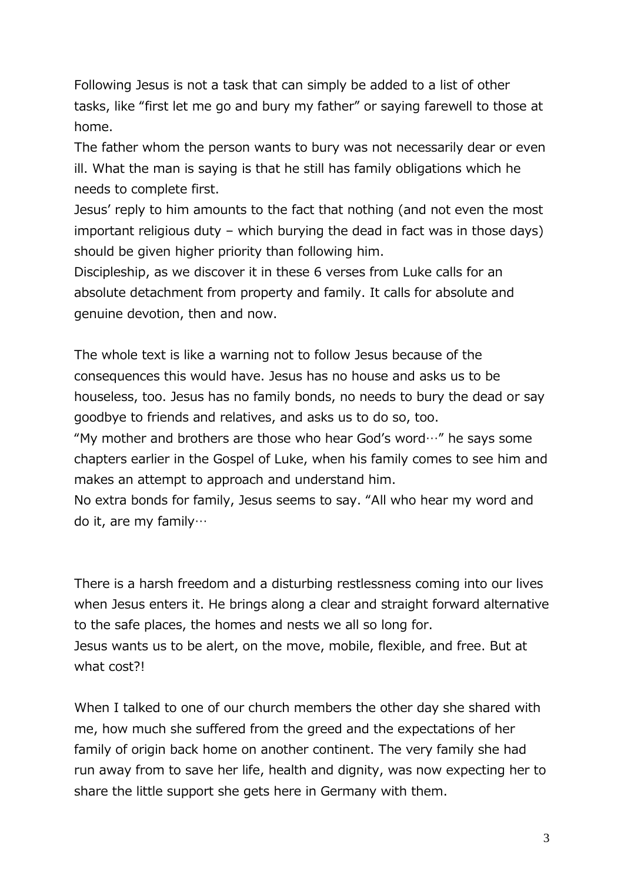Following Jesus is not a task that can simply be added to a list of other tasks, like "first let me go and bury my father" or saying farewell to those at home.

The father whom the person wants to bury was not necessarily dear or even ill. What the man is saying is that he still has family obligations which he needs to complete first.

Jesus' reply to him amounts to the fact that nothing (and not even the most important religious duty – which burying the dead in fact was in those days) should be given higher priority than following him.

Discipleship, as we discover it in these 6 verses from Luke calls for an absolute detachment from property and family. It calls for absolute and genuine devotion, then and now.

The whole text is like a warning not to follow Jesus because of the consequences this would have. Jesus has no house and asks us to be houseless, too. Jesus has no family bonds, no needs to bury the dead or say goodbye to friends and relatives, and asks us to do so, too.

"My mother and brothers are those who hear God's word $\cdots$ " he says some chapters earlier in the Gospel of Luke, when his family comes to see him and makes an attempt to approach and understand him.

No extra bonds for family, Jesus seems to say. "All who hear my word and do it, are my family…

There is a harsh freedom and a disturbing restlessness coming into our lives when Jesus enters it. He brings along a clear and straight forward alternative to the safe places, the homes and nests we all so long for. Jesus wants us to be alert, on the move, mobile, flexible, and free. But at what cost?!

When I talked to one of our church members the other day she shared with me, how much she suffered from the greed and the expectations of her family of origin back home on another continent. The very family she had run away from to save her life, health and dignity, was now expecting her to share the little support she gets here in Germany with them.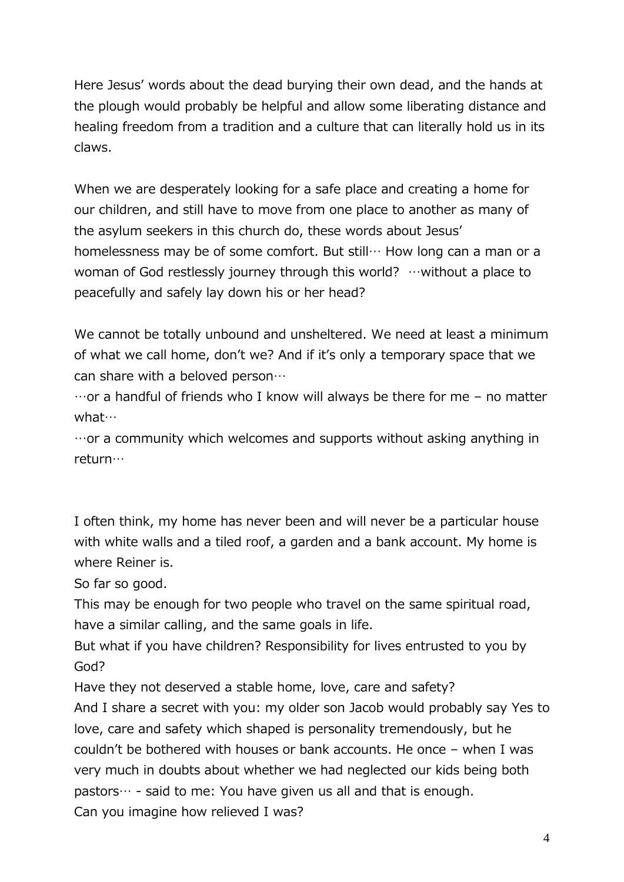Here Jesus' words about the dead burying their own dead, and the hands at the plough would probably be helpful and allow some liberating distance and healing freedom from a tradition and a culture that can literally hold us in its claws.

When we are desperately looking for a safe place and creating a home for our children, and still have to move from one place to another as many of the asylum seekers in this church do, these words about Jesus' homelessness may be of some comfort. But still… How long can a man or a woman of God restlessly journey through this world? …without a place to peacefully and safely lay down his or her head?

We cannot be totally unbound and unsheltered. We need at least a minimum of what we call home, don't we? And if it's only a temporary space that we can share with a beloved person…

 $\cdots$  or a handful of friends who I know will always be there for me – no matter what…

…or a community which welcomes and supports without asking anything in return…

I often think, my home has never been and will never be a particular house with white walls and a tiled roof, a garden and a bank account. My home is where Reiner is.

So far so good.

This may be enough for two people who travel on the same spiritual road, have a similar calling, and the same goals in life.

But what if you have children? Responsibility for lives entrusted to you by God?

Have they not deserved a stable home, love, care and safety?

And I share a secret with you: my older son Jacob would probably say Yes to love, care and safety which shaped is personality tremendously, but he couldn't be bothered with houses or bank accounts. He once – when I was very much in doubts about whether we had neglected our kids being both pastors… - said to me: You have given us all and that is enough. Can you imagine how relieved I was?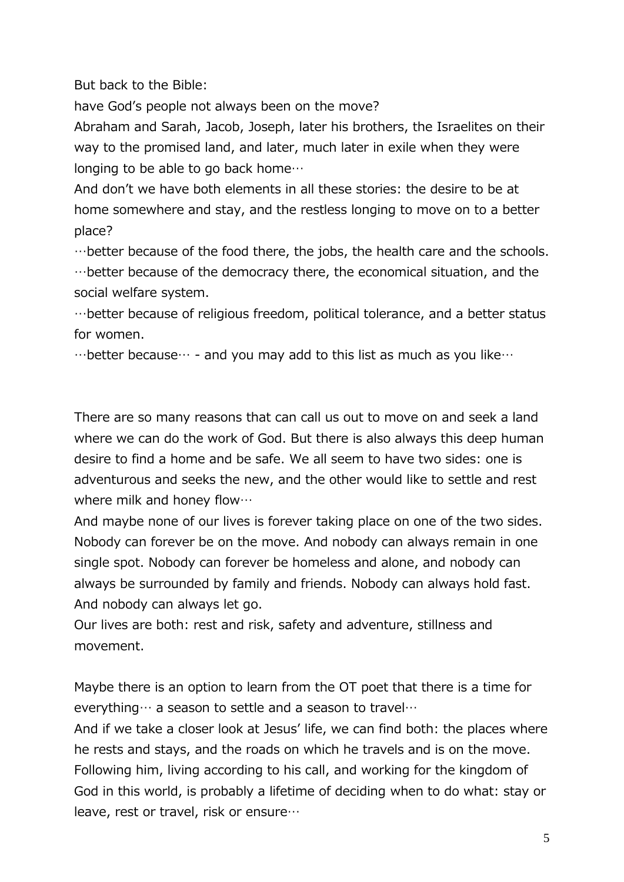But back to the Bible:

have God's people not always been on the move?

Abraham and Sarah, Jacob, Joseph, later his brothers, the Israelites on their way to the promised land, and later, much later in exile when they were longing to be able to go back home…

And don't we have both elements in all these stories: the desire to be at home somewhere and stay, and the restless longing to move on to a better place?

…better because of the food there, the jobs, the health care and the schools.

…better because of the democracy there, the economical situation, and the social welfare system.

…better because of religious freedom, political tolerance, and a better status for women.

…better because… - and you may add to this list as much as you like…

There are so many reasons that can call us out to move on and seek a land where we can do the work of God. But there is also always this deep human desire to find a home and be safe. We all seem to have two sides: one is adventurous and seeks the new, and the other would like to settle and rest where milk and honey flow…

And maybe none of our lives is forever taking place on one of the two sides. Nobody can forever be on the move. And nobody can always remain in one single spot. Nobody can forever be homeless and alone, and nobody can always be surrounded by family and friends. Nobody can always hold fast. And nobody can always let go.

Our lives are both: rest and risk, safety and adventure, stillness and movement.

Maybe there is an option to learn from the OT poet that there is a time for everything… a season to settle and a season to travel…

And if we take a closer look at Jesus' life, we can find both: the places where he rests and stays, and the roads on which he travels and is on the move. Following him, living according to his call, and working for the kingdom of God in this world, is probably a lifetime of deciding when to do what: stay or leave, rest or travel, risk or ensure…